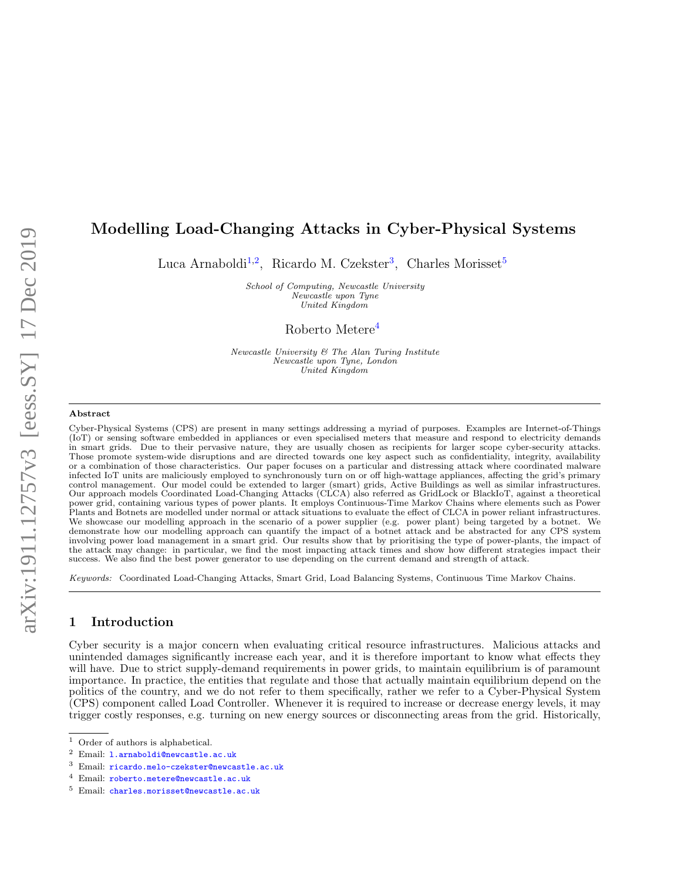# Modelling Load-Changing Attacks in Cyber-Physical Systems

Luca Arnaboldi<sup>[1](#page-0-0),[2](#page-0-0)</sup>, Ricardo M. Czekster<sup>[3](#page-0-0)</sup>, Charles Morisset<sup>[5](#page-0-0)</sup>

School of Computing, Newcastle University Newcastle upon Tyne United Kingdom

### Roberto Metere[4](#page-0-0)

Newcastle University & The Alan Turing Institute Newcastle upon Tyne, London United Kingdom

#### <span id="page-0-0"></span>Abstract

Cyber-Physical Systems (CPS) are present in many settings addressing a myriad of purposes. Examples are Internet-of-Things (IoT) or sensing software embedded in appliances or even specialised meters that measure and respond to electricity demands in smart grids. Due to their pervasive nature, they are usually chosen as recipients for larger scope cyber-security attacks. Those promote system-wide disruptions and are directed towards one key aspect such as confidentiality, integrity, availability or a combination of those characteristics. Our paper focuses on a particular and distressing attack where coordinated malware infected IoT units are maliciously employed to synchronously turn on or off high-wattage appliances, affecting the grid's primary control management. Our model could be extended to larger (smart) grids, Active Buildings as well as similar infrastructures. Our approach models Coordinated Load-Changing Attacks (CLCA) also referred as GridLock or BlackIoT, against a theoretical power grid, containing various types of power plants. It employs Continuous-Time Markov Chains where elements such as Power Plants and Botnets are modelled under normal or attack situations to evaluate the effect of CLCA in power reliant infrastructures. We showcase our modelling approach in the scenario of a power supplier (e.g. power plant) being targeted by a botnet. We demonstrate how our modelling approach can quantify the impact of a botnet attack and be abstracted for any CPS system involving power load management in a smart grid. Our results show that by prioritising the type of power-plants, the impact of the attack may change: in particular, we find the most impacting attack times and show how different strategies impact their success. We also find the best power generator to use depending on the current demand and strength of attack.

Keywords: Coordinated Load-Changing Attacks, Smart Grid, Load Balancing Systems, Continuous Time Markov Chains.

### 1 Introduction

Cyber security is a major concern when evaluating critical resource infrastructures. Malicious attacks and unintended damages significantly increase each year, and it is therefore important to know what effects they will have. Due to strict supply-demand requirements in power grids, to maintain equilibrium is of paramount importance. In practice, the entities that regulate and those that actually maintain equilibrium depend on the politics of the country, and we do not refer to them specifically, rather we refer to a Cyber-Physical System (CPS) component called Load Controller. Whenever it is required to increase or decrease energy levels, it may trigger costly responses, e.g. turning on new energy sources or disconnecting areas from the grid. Historically,

<sup>&</sup>lt;sup>1</sup> Order of authors is alphabetical.<br><sup>2</sup> Email 1 argaboldi@newcastle

<sup>2</sup> Email: [l.arnaboldi@newcastle.ac.uk](mailto:l.arnaboldi@newcastle.ac.uk)

<sup>3</sup> Email: [ricardo.melo-czekster@newcastle.ac.uk](mailto:ricardo.melo-czekster@newcastle.ac.uk)

<sup>4</sup> Email: [roberto.metere@newcastle.ac.uk](mailto:roberto.metere@newcastle.ac.uk)

<sup>5</sup> Email: [charles.morisset@newcastle.ac.uk](mailto:charles.morisset@newcastle.ac.uk)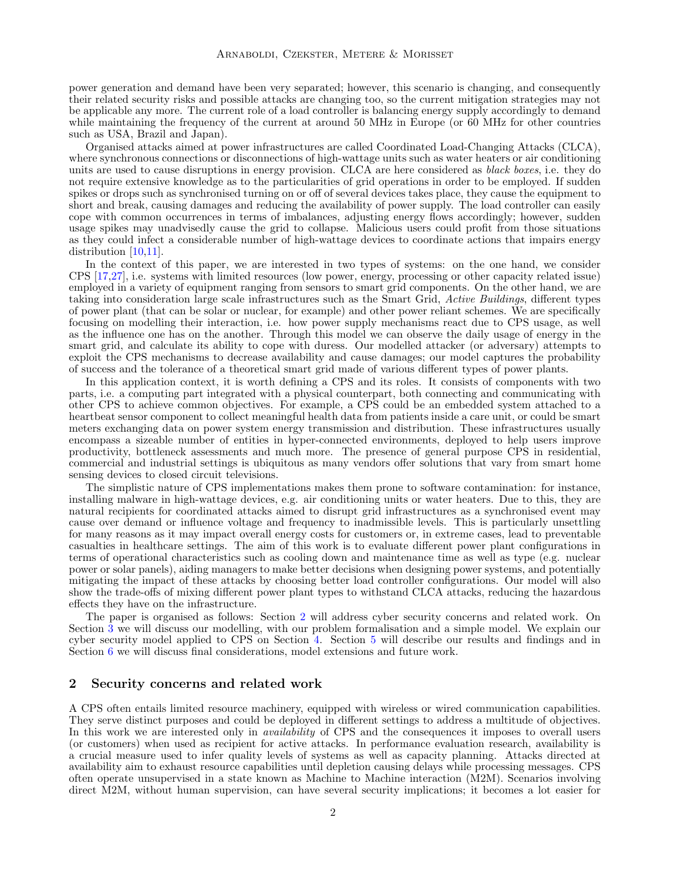power generation and demand have been very separated; however, this scenario is changing, and consequently their related security risks and possible attacks are changing too, so the current mitigation strategies may not be applicable any more. The current role of a load controller is balancing energy supply accordingly to demand while maintaining the frequency of the current at around 50 MHz in Europe (or 60 MHz for other countries such as USA, Brazil and Japan).

Organised attacks aimed at power infrastructures are called Coordinated Load-Changing Attacks (CLCA), where synchronous connections or disconnections of high-wattage units such as water heaters or air conditioning units are used to cause disruptions in energy provision. CLCA are here considered as black boxes, i.e. they do not require extensive knowledge as to the particularities of grid operations in order to be employed. If sudden spikes or drops such as synchronised turning on or off of several devices takes place, they cause the equipment to short and break, causing damages and reducing the availability of power supply. The load controller can easily cope with common occurrences in terms of imbalances, adjusting energy flows accordingly; however, sudden usage spikes may unadvisedly cause the grid to collapse. Malicious users could profit from those situations as they could infect a considerable number of high-wattage devices to coordinate actions that impairs energy distribution [\[10,](#page-14-0)[11\]](#page-14-1).

In the context of this paper, we are interested in two types of systems: on the one hand, we consider CPS [\[17](#page-14-2)[,27\]](#page-14-3), i.e. systems with limited resources (low power, energy, processing or other capacity related issue) employed in a variety of equipment ranging from sensors to smart grid components. On the other hand, we are taking into consideration large scale infrastructures such as the Smart Grid, Active Buildings, different types of power plant (that can be solar or nuclear, for example) and other power reliant schemes. We are specifically focusing on modelling their interaction, i.e. how power supply mechanisms react due to CPS usage, as well as the influence one has on the another. Through this model we can observe the daily usage of energy in the smart grid, and calculate its ability to cope with duress. Our modelled attacker (or adversary) attempts to exploit the CPS mechanisms to decrease availability and cause damages; our model captures the probability of success and the tolerance of a theoretical smart grid made of various different types of power plants.

In this application context, it is worth defining a CPS and its roles. It consists of components with two parts, i.e. a computing part integrated with a physical counterpart, both connecting and communicating with other CPS to achieve common objectives. For example, a CPS could be an embedded system attached to a heartbeat sensor component to collect meaningful health data from patients inside a care unit, or could be smart meters exchanging data on power system energy transmission and distribution. These infrastructures usually encompass a sizeable number of entities in hyper-connected environments, deployed to help users improve productivity, bottleneck assessments and much more. The presence of general purpose CPS in residential, commercial and industrial settings is ubiquitous as many vendors offer solutions that vary from smart home sensing devices to closed circuit televisions.

The simplistic nature of CPS implementations makes them prone to software contamination: for instance, installing malware in high-wattage devices, e.g. air conditioning units or water heaters. Due to this, they are natural recipients for coordinated attacks aimed to disrupt grid infrastructures as a synchronised event may cause over demand or influence voltage and frequency to inadmissible levels. This is particularly unsettling for many reasons as it may impact overall energy costs for customers or, in extreme cases, lead to preventable casualties in healthcare settings. The aim of this work is to evaluate different power plant configurations in terms of operational characteristics such as cooling down and maintenance time as well as type (e.g. nuclear power or solar panels), aiding managers to make better decisions when designing power systems, and potentially mitigating the impact of these attacks by choosing better load controller configurations. Our model will also show the trade-offs of mixing different power plant types to withstand CLCA attacks, reducing the hazardous effects they have on the infrastructure.

The paper is organised as follows: Section [2](#page-1-0) will address cyber security concerns and related work. On Section [3](#page-4-0) we will discuss our modelling, with our problem formalisation and a simple model. We explain our cyber security model applied to CPS on Section [4.](#page-9-0) Section [5](#page-10-0) will describe our results and findings and in Section [6](#page-12-0) we will discuss final considerations, model extensions and future work.

### <span id="page-1-0"></span>2 Security concerns and related work

A CPS often entails limited resource machinery, equipped with wireless or wired communication capabilities. They serve distinct purposes and could be deployed in different settings to address a multitude of objectives. In this work we are interested only in *availability* of CPS and the consequences it imposes to overall users (or customers) when used as recipient for active attacks. In performance evaluation research, availability is a crucial measure used to infer quality levels of systems as well as capacity planning. Attacks directed at availability aim to exhaust resource capabilities until depletion causing delays while processing messages. CPS often operate unsupervised in a state known as Machine to Machine interaction (M2M). Scenarios involving direct M2M, without human supervision, can have several security implications; it becomes a lot easier for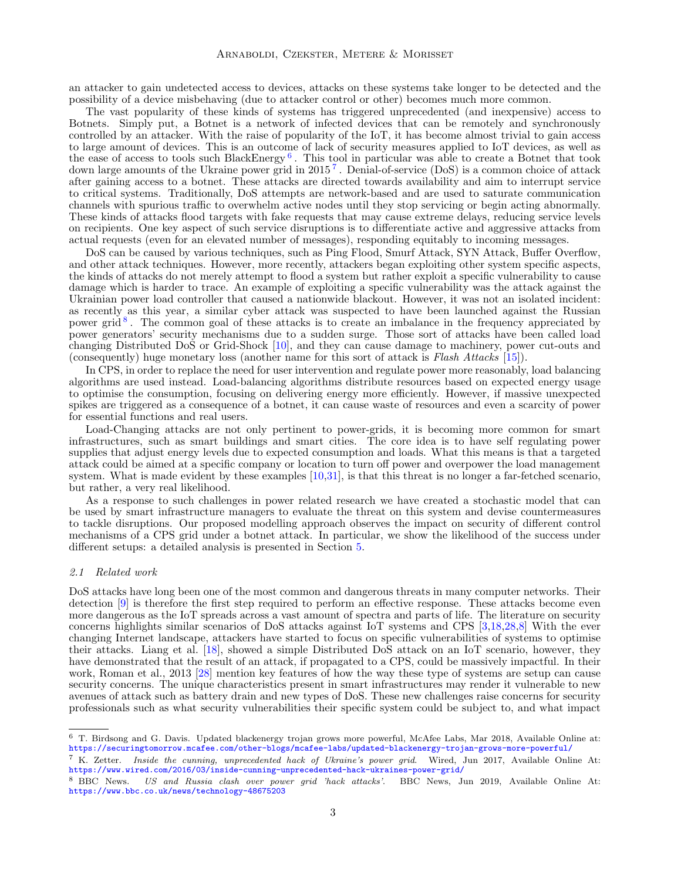an attacker to gain undetected access to devices, attacks on these systems take longer to be detected and the possibility of a device misbehaving (due to attacker control or other) becomes much more common.

The vast popularity of these kinds of systems has triggered unprecedented (and inexpensive) access to Botnets. Simply put, a Botnet is a network of infected devices that can be remotely and synchronously controlled by an attacker. With the raise of popularity of the IoT, it has become almost trivial to gain access to large amount of devices. This is an outcome of lack of security measures applied to IoT devices, as well as the ease of access to tools such BlackEnergy<sup>[6](#page-2-0)</sup>. This tool in particular was able to create a Botnet that took down large amounts of the Ukraine power grid in 2015<sup>[7](#page-2-1)</sup>. Denial-of-service (DoS) is a common choice of attack after gaining access to a botnet. These attacks are directed towards availability and aim to interrupt service to critical systems. Traditionally, DoS attempts are network-based and are used to saturate communication channels with spurious traffic to overwhelm active nodes until they stop servicing or begin acting abnormally. These kinds of attacks flood targets with fake requests that may cause extreme delays, reducing service levels on recipients. One key aspect of such service disruptions is to differentiate active and aggressive attacks from actual requests (even for an elevated number of messages), responding equitably to incoming messages.

DoS can be caused by various techniques, such as Ping Flood, Smurf Attack, SYN Attack, Buffer Overflow, and other attack techniques. However, more recently, attackers began exploiting other system specific aspects, the kinds of attacks do not merely attempt to flood a system but rather exploit a specific vulnerability to cause damage which is harder to trace. An example of exploiting a specific vulnerability was the attack against the Ukrainian power load controller that caused a nationwide blackout. However, it was not an isolated incident: as recently as this year, a similar cyber attack was suspected to have been launched against the Russian power grid<sup>[8](#page-2-2)</sup>. The common goal of these attacks is to create an imbalance in the frequency appreciated by power generators' security mechanisms due to a sudden surge. Those sort of attacks have been called load changing Distributed DoS or Grid-Shock [\[10\]](#page-14-0), and they can cause damage to machinery, power cut-outs and (consequently) huge monetary loss (another name for this sort of attack is Flash Attacks [\[15\]](#page-14-4)).

In CPS, in order to replace the need for user intervention and regulate power more reasonably, load balancing algorithms are used instead. Load-balancing algorithms distribute resources based on expected energy usage to optimise the consumption, focusing on delivering energy more efficiently. However, if massive unexpected spikes are triggered as a consequence of a botnet, it can cause waste of resources and even a scarcity of power for essential functions and real users.

Load-Changing attacks are not only pertinent to power-grids, it is becoming more common for smart infrastructures, such as smart buildings and smart cities. The core idea is to have self regulating power supplies that adjust energy levels due to expected consumption and loads. What this means is that a targeted attack could be aimed at a specific company or location to turn off power and overpower the load management system. What is made evident by these examples [\[10,](#page-14-0)[31\]](#page-14-5), is that this threat is no longer a far-fetched scenario, but rather, a very real likelihood.

As a response to such challenges in power related research we have created a stochastic model that can be used by smart infrastructure managers to evaluate the threat on this system and devise countermeasures to tackle disruptions. Our proposed modelling approach observes the impact on security of different control mechanisms of a CPS grid under a botnet attack. In particular, we show the likelihood of the success under different setups: a detailed analysis is presented in Section [5.](#page-10-0)

#### 2.1 Related work

DoS attacks have long been one of the most common and dangerous threats in many computer networks. Their detection [\[9\]](#page-14-6) is therefore the first step required to perform an effective response. These attacks become even more dangerous as the IoT spreads across a vast amount of spectra and parts of life. The literature on security concerns highlights similar scenarios of DoS attacks against IoT systems and CPS [\[3,](#page-13-0)[18,](#page-14-7)[28,](#page-14-8)[8\]](#page-13-1) With the ever changing Internet landscape, attackers have started to focus on specific vulnerabilities of systems to optimise their attacks. Liang et al. [\[18\]](#page-14-7), showed a simple Distributed DoS attack on an IoT scenario, however, they have demonstrated that the result of an attack, if propagated to a CPS, could be massively impactful. In their work, Roman et al., 2013 [\[28\]](#page-14-8) mention key features of how the way these type of systems are setup can cause security concerns. The unique characteristics present in smart infrastructures may render it vulnerable to new avenues of attack such as battery drain and new types of DoS. These new challenges raise concerns for security professionals such as what security vulnerabilities their specific system could be subject to, and what impact

<span id="page-2-0"></span><sup>6</sup> T. Birdsong and G. Davis. Updated blackenergy trojan grows more powerful, McAfee Labs, Mar 2018, Available Online at: <https://securingtomorrow.mcafee.com/other-blogs/mcafee-labs/updated-blackenergy-trojan-grows-more-powerful/>

<span id="page-2-1"></span><sup>&</sup>lt;sup>7</sup> K. Zetter. *Inside the cunning, unprecedented hack of Ukraine's power grid.* Wired, Jun 2017, Available Online At: <https://www.wired.com/2016/03/inside-cunning-unprecedented-hack-ukraines-power-grid/>

<span id="page-2-2"></span><sup>8</sup> BBC News. US and Russia clash over power grid 'hack attacks'. BBC News, Jun 2019, Available Online At: <https://www.bbc.co.uk/news/technology-48675203>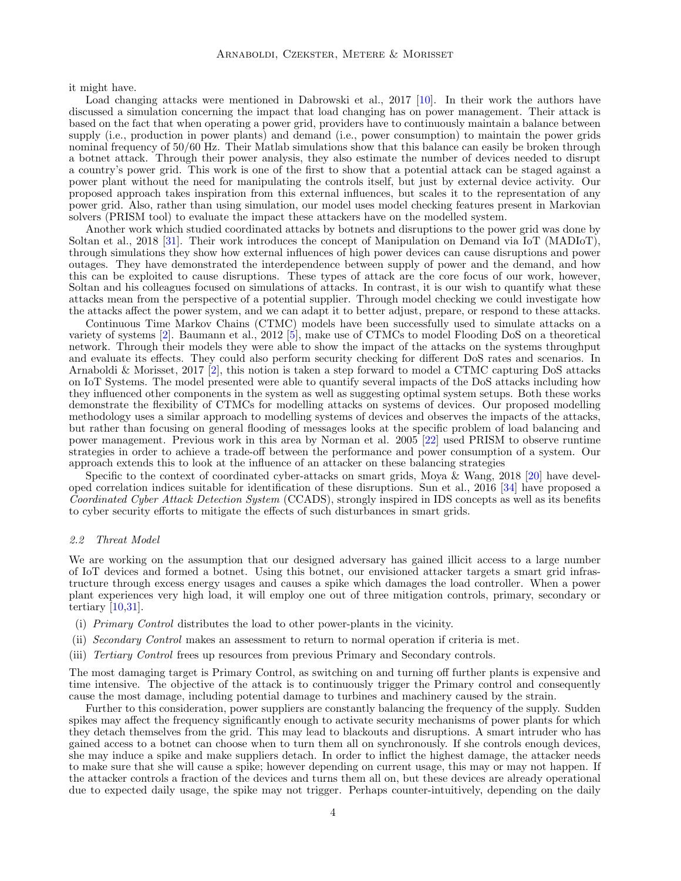it might have.

Load changing attacks were mentioned in Dabrowski et al., 2017 [\[10\]](#page-14-0). In their work the authors have discussed a simulation concerning the impact that load changing has on power management. Their attack is based on the fact that when operating a power grid, providers have to continuously maintain a balance between supply (i.e., production in power plants) and demand (i.e., power consumption) to maintain the power grids nominal frequency of 50/60 Hz. Their Matlab simulations show that this balance can easily be broken through a botnet attack. Through their power analysis, they also estimate the number of devices needed to disrupt a country's power grid. This work is one of the first to show that a potential attack can be staged against a power plant without the need for manipulating the controls itself, but just by external device activity. Our proposed approach takes inspiration from this external influences, but scales it to the representation of any power grid. Also, rather than using simulation, our model uses model checking features present in Markovian solvers (PRISM tool) to evaluate the impact these attackers have on the modelled system.

Another work which studied coordinated attacks by botnets and disruptions to the power grid was done by Soltan et al., 2018 [\[31\]](#page-14-5). Their work introduces the concept of Manipulation on Demand via IoT (MADIoT), through simulations they show how external influences of high power devices can cause disruptions and power outages. They have demonstrated the interdependence between supply of power and the demand, and how this can be exploited to cause disruptions. These types of attack are the core focus of our work, however, Soltan and his colleagues focused on simulations of attacks. In contrast, it is our wish to quantify what these attacks mean from the perspective of a potential supplier. Through model checking we could investigate how the attacks affect the power system, and we can adapt it to better adjust, prepare, or respond to these attacks.

Continuous Time Markov Chains (CTMC) models have been successfully used to simulate attacks on a variety of systems [\[2\]](#page-13-2). Baumann et al., 2012 [\[5\]](#page-13-3), make use of CTMCs to model Flooding DoS on a theoretical network. Through their models they were able to show the impact of the attacks on the systems throughput and evaluate its effects. They could also perform security checking for different DoS rates and scenarios. In Arnaboldi & Morisset, 2017 [\[2\]](#page-13-2), this notion is taken a step forward to model a CTMC capturing DoS attacks on IoT Systems. The model presented were able to quantify several impacts of the DoS attacks including how they influenced other components in the system as well as suggesting optimal system setups. Both these works demonstrate the flexibility of CTMCs for modelling attacks on systems of devices. Our proposed modelling methodology uses a similar approach to modelling systems of devices and observes the impacts of the attacks, but rather than focusing on general flooding of messages looks at the specific problem of load balancing and power management. Previous work in this area by Norman et al. 2005 [\[22\]](#page-14-9) used PRISM to observe runtime strategies in order to achieve a trade-off between the performance and power consumption of a system. Our approach extends this to look at the influence of an attacker on these balancing strategies

Specific to the context of coordinated cyber-attacks on smart grids, Moya & Wang, 2018 [\[20\]](#page-14-10) have developed correlation indices suitable for identification of these disruptions. Sun et al., 2016 [\[34\]](#page-14-11) have proposed a Coordinated Cyber Attack Detection System (CCADS), strongly inspired in IDS concepts as well as its benefits to cyber security efforts to mitigate the effects of such disturbances in smart grids.

#### 2.2 Threat Model

We are working on the assumption that our designed adversary has gained illicit access to a large number of IoT devices and formed a botnet. Using this botnet, our envisioned attacker targets a smart grid infrastructure through excess energy usages and causes a spike which damages the load controller. When a power plant experiences very high load, it will employ one out of three mitigation controls, primary, secondary or tertiary [\[10,](#page-14-0)[31\]](#page-14-5).

- (i) Primary Control distributes the load to other power-plants in the vicinity.
- (ii) Secondary Control makes an assessment to return to normal operation if criteria is met.
- (iii) Tertiary Control frees up resources from previous Primary and Secondary controls.

The most damaging target is Primary Control, as switching on and turning off further plants is expensive and time intensive. The objective of the attack is to continuously trigger the Primary control and consequently cause the most damage, including potential damage to turbines and machinery caused by the strain.

Further to this consideration, power suppliers are constantly balancing the frequency of the supply. Sudden spikes may affect the frequency significantly enough to activate security mechanisms of power plants for which they detach themselves from the grid. This may lead to blackouts and disruptions. A smart intruder who has gained access to a botnet can choose when to turn them all on synchronously. If she controls enough devices, she may induce a spike and make suppliers detach. In order to inflict the highest damage, the attacker needs to make sure that she will cause a spike; however depending on current usage, this may or may not happen. If the attacker controls a fraction of the devices and turns them all on, but these devices are already operational due to expected daily usage, the spike may not trigger. Perhaps counter-intuitively, depending on the daily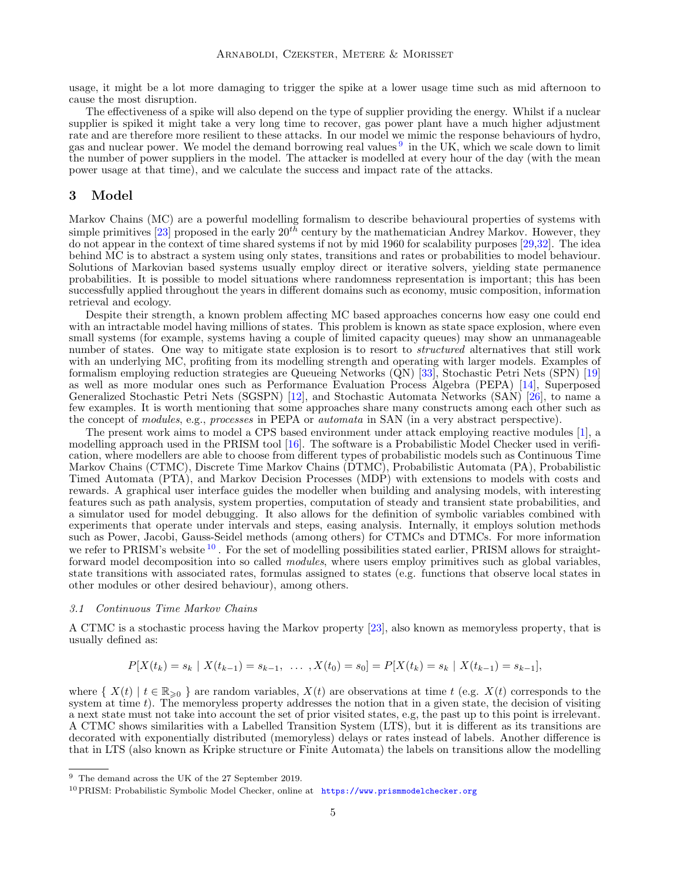usage, it might be a lot more damaging to trigger the spike at a lower usage time such as mid afternoon to cause the most disruption.

The effectiveness of a spike will also depend on the type of supplier providing the energy. Whilst if a nuclear supplier is spiked it might take a very long time to recover, gas power plant have a much higher adjustment rate and are therefore more resilient to these attacks. In our model we mimic the response behaviours of hydro, gas and nuclear power. We model the demand borrowing real values  $9$  in the UK, which we scale down to limit the number of power suppliers in the model. The attacker is modelled at every hour of the day (with the mean power usage at that time), and we calculate the success and impact rate of the attacks.

### <span id="page-4-0"></span>3 Model

Markov Chains (MC) are a powerful modelling formalism to describe behavioural properties of systems with simple primitives [\[23\]](#page-14-12) proposed in the early  $20^{th}$  century by the mathematician Andrey Markov. However, they do not appear in the context of time shared systems if not by mid 1960 for scalability purposes [\[29,](#page-14-13)[32\]](#page-14-14). The idea behind MC is to abstract a system using only states, transitions and rates or probabilities to model behaviour. Solutions of Markovian based systems usually employ direct or iterative solvers, yielding state permanence probabilities. It is possible to model situations where randomness representation is important; this has been successfully applied throughout the years in different domains such as economy, music composition, information retrieval and ecology.

Despite their strength, a known problem affecting MC based approaches concerns how easy one could end with an intractable model having millions of states. This problem is known as state space explosion, where even small systems (for example, systems having a couple of limited capacity queues) may show an unmanageable number of states. One way to mitigate state explosion is to resort to structured alternatives that still work with an underlying MC, profiting from its modelling strength and operating with larger models. Examples of formalism employing reduction strategies are Queueing Networks (QN) [\[33\]](#page-14-15), Stochastic Petri Nets (SPN) [\[19\]](#page-14-16) as well as more modular ones such as Performance Evaluation Process Algebra (PEPA) [\[14\]](#page-14-17), Superposed Generalized Stochastic Petri Nets (SGSPN) [\[12\]](#page-14-18), and Stochastic Automata Networks (SAN) [\[26\]](#page-14-19), to name a few examples. It is worth mentioning that some approaches share many constructs among each other such as the concept of modules, e.g., processes in PEPA or automata in SAN (in a very abstract perspective).

The present work aims to model a CPS based environment under attack employing reactive modules [\[1\]](#page-13-4), a modelling approach used in the PRISM tool [\[16\]](#page-14-20). The software is a Probabilistic Model Checker used in verification, where modellers are able to choose from different types of probabilistic models such as Continuous Time Markov Chains (CTMC), Discrete Time Markov Chains (DTMC), Probabilistic Automata (PA), Probabilistic Timed Automata (PTA), and Markov Decision Processes (MDP) with extensions to models with costs and rewards. A graphical user interface guides the modeller when building and analysing models, with interesting features such as path analysis, system properties, computation of steady and transient state probabilities, and a simulator used for model debugging. It also allows for the definition of symbolic variables combined with experiments that operate under intervals and steps, easing analysis. Internally, it employs solution methods such as Power, Jacobi, Gauss-Seidel methods (among others) for CTMCs and DTMCs. For more information we refer to PRISM's website <sup>[10](#page-4-2)</sup>. For the set of modelling possibilities stated earlier, PRISM allows for straightforward model decomposition into so called modules, where users employ primitives such as global variables, state transitions with associated rates, formulas assigned to states (e.g. functions that observe local states in other modules or other desired behaviour), among others.

#### <span id="page-4-3"></span>3.1 Continuous Time Markov Chains

A CTMC is a stochastic process having the Markov property [\[23\]](#page-14-12), also known as memoryless property, that is usually defined as:

$$
P[X(t_k) = s_k | X(t_{k-1}) = s_{k-1}, \ldots, X(t_0) = s_0] = P[X(t_k) = s_k | X(t_{k-1}) = s_{k-1}],
$$

where  $\{ X(t) | t \in \mathbb{R}_{\geqslant 0} \}$  are random variables,  $X(t)$  are observations at time t (e.g.  $X(t)$  corresponds to the system at time  $t$ ). The memoryless property addresses the notion that in a given state, the decision of visiting a next state must not take into account the set of prior visited states, e.g, the past up to this point is irrelevant. A CTMC shows similarities with a Labelled Transition System (LTS), but it is different as its transitions are decorated with exponentially distributed (memoryless) delays or rates instead of labels. Another difference is that in LTS (also known as Kripke structure or Finite Automata) the labels on transitions allow the modelling

<span id="page-4-1"></span><sup>9</sup> The demand across the UK of the 27 September 2019.

<span id="page-4-2"></span><sup>10</sup> PRISM: Probabilistic Symbolic Model Checker, online at [https://www.prismmodelchecker.org]( https://www.prismmodelchecker.org)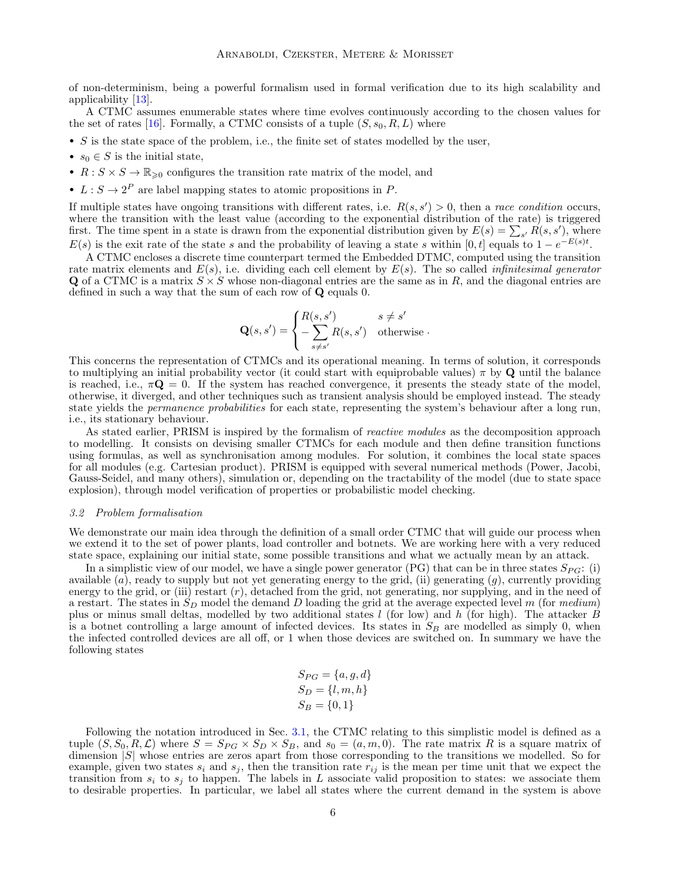of non-determinism, being a powerful formalism used in formal verification due to its high scalability and applicability [\[13\]](#page-14-21).

A CTMC assumes enumerable states where time evolves continuously according to the chosen values for the set of rates [\[16\]](#page-14-20). Formally, a CTMC consists of a tuple  $(S, s_0, R, L)$  where

- $S$  is the state space of the problem, i.e., the finite set of states modelled by the user,
- $s_0 \in S$  is the initial state,
- $R: S \times S \to \mathbb{R}_{\geq 0}$  configures the transition rate matrix of the model, and
- $L: S \to 2^P$  are label mapping states to atomic propositions in P.

If multiple states have ongoing transitions with different rates, i.e.  $R(s, s') > 0$ , then a race condition occurs, where the transition with the least value (according to the exponential distribution of the rate) is triggered first. The time spent in a state is drawn from the exponential distribution given by  $E(s) = \sum_{s'} R(s, s')$ , where  $E(s)$  is the exit rate of the state s and the probability of leaving a state s within [0, t] equals to  $1 - e^{-E(s)t}$ .

A CTMC encloses a discrete time counterpart termed the Embedded DTMC, computed using the transition rate matrix elements and  $E(s)$ , i.e. dividing each cell element by  $E(s)$ . The so called *infinitesimal generator* Q of a CTMC is a matrix  $S \times S$  whose non-diagonal entries are the same as in R, and the diagonal entries are defined in such a way that the sum of each row of Q equals 0.

$$
\mathbf{Q}(s,s') = \begin{cases} R(s,s') & s \neq s' \\ -\sum_{s \neq s'} R(s,s') & \text{otherwise} \end{cases}.
$$

This concerns the representation of CTMCs and its operational meaning. In terms of solution, it corresponds to multiplying an initial probability vector (it could start with equiprobable values)  $\pi$  by Q until the balance is reached, i.e.,  $\pi \mathbf{Q} = 0$ . If the system has reached convergence, it presents the steady state of the model, otherwise, it diverged, and other techniques such as transient analysis should be employed instead. The steady state yields the permanence probabilities for each state, representing the system's behaviour after a long run, i.e., its stationary behaviour.

As stated earlier, PRISM is inspired by the formalism of reactive modules as the decomposition approach to modelling. It consists on devising smaller CTMCs for each module and then define transition functions using formulas, as well as synchronisation among modules. For solution, it combines the local state spaces for all modules (e.g. Cartesian product). PRISM is equipped with several numerical methods (Power, Jacobi, Gauss-Seidel, and many others), simulation or, depending on the tractability of the model (due to state space explosion), through model verification of properties or probabilistic model checking.

### 3.2 Problem formalisation

We demonstrate our main idea through the definition of a small order CTMC that will guide our process when we extend it to the set of power plants, load controller and botnets. We are working here with a very reduced state space, explaining our initial state, some possible transitions and what we actually mean by an attack.

In a simplistic view of our model, we have a single power generator (PG) that can be in three states  $S_{PG}$ : (i) available  $(a)$ , ready to supply but not yet generating energy to the grid, (ii) generating  $(q)$ , currently providing energy to the grid, or (iii) restart  $(r)$ , detached from the grid, not generating, nor supplying, and in the need of a restart. The states in  $S_D$  model the demand D loading the grid at the average expected level m (for medium) plus or minus small deltas, modelled by two additional states l (for low) and h (for high). The attacker  $\dot{B}$ is a botnet controlling a large amount of infected devices. Its states in  $S_B$  are modelled as simply 0, when the infected controlled devices are all off, or 1 when those devices are switched on. In summary we have the following states

$$
S_{PG} = \{a, g, d\}
$$
  
\n
$$
S_D = \{l, m, h\}
$$
  
\n
$$
S_B = \{0, 1\}
$$

Following the notation introduced in Sec. [3.1,](#page-4-3) the CTMC relating to this simplistic model is defined as a tuple  $(S, S_0, R, \mathcal{L})$  where  $S = S_{PG} \times S_D \times S_B$ , and  $s_0 = (a, m, 0)$ . The rate matrix R is a square matrix of dimension |S| whose entries are zeros apart from those corresponding to the transitions we modelled. So for example, given two states  $s_i$  and  $s_j$ , then the transition rate  $r_{ij}$  is the mean per time unit that we expect the transition from  $s_i$  to  $s_j$  to happen. The labels in L associate valid proposition to states: we associate them to desirable properties. In particular, we label all states where the current demand in the system is above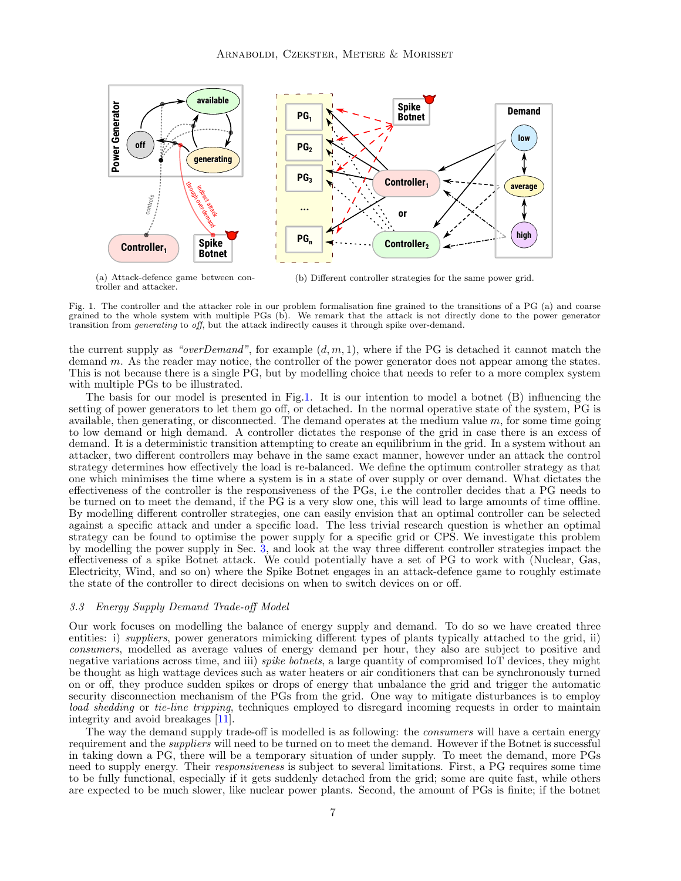<span id="page-6-0"></span>

(a) Attack-defence game between controller and attacker.

(b) Different controller strategies for the same power grid.

Fig. 1. The controller and the attacker role in our problem formalisation fine grained to the transitions of a PG (a) and coarse grained to the whole system with multiple PGs (b). We remark that the attack is not directly done to the power generator transition from generating to off, but the attack indirectly causes it through spike over-demand.

the current supply as "overDemand", for example  $(d, m, 1)$ , where if the PG is detached it cannot match the demand m. As the reader may notice, the controller of the power generator does not appear among the states. This is not because there is a single PG, but by modelling choice that needs to refer to a more complex system with multiple PGs to be illustrated.

The basis for our model is presented in Fig[.1.](#page-6-0) It is our intention to model a botnet (B) influencing the setting of power generators to let them go off, or detached. In the normal operative state of the system, PG is available, then generating, or disconnected. The demand operates at the medium value  $m$ , for some time going to low demand or high demand. A controller dictates the response of the grid in case there is an excess of demand. It is a deterministic transition attempting to create an equilibrium in the grid. In a system without an attacker, two different controllers may behave in the same exact manner, however under an attack the control strategy determines how effectively the load is re-balanced. We define the optimum controller strategy as that one which minimises the time where a system is in a state of over supply or over demand. What dictates the effectiveness of the controller is the responsiveness of the PGs, i.e the controller decides that a PG needs to be turned on to meet the demand, if the PG is a very slow one, this will lead to large amounts of time offline. By modelling different controller strategies, one can easily envision that an optimal controller can be selected against a specific attack and under a specific load. The less trivial research question is whether an optimal strategy can be found to optimise the power supply for a specific grid or CPS. We investigate this problem by modelling the power supply in Sec. [3,](#page-4-0) and look at the way three different controller strategies impact the effectiveness of a spike Botnet attack. We could potentially have a set of PG to work with (Nuclear, Gas, Electricity, Wind, and so on) where the Spike Botnet engages in an attack-defence game to roughly estimate the state of the controller to direct decisions on when to switch devices on or off.

#### 3.3 Energy Supply Demand Trade-off Model

Our work focuses on modelling the balance of energy supply and demand. To do so we have created three entities: i) *suppliers*, power generators mimicking different types of plants typically attached to the grid, ii) consumers, modelled as average values of energy demand per hour, they also are subject to positive and negative variations across time, and iii) spike botnets, a large quantity of compromised IoT devices, they might be thought as high wattage devices such as water heaters or air conditioners that can be synchronously turned on or off, they produce sudden spikes or drops of energy that unbalance the grid and trigger the automatic security disconnection mechanism of the PGs from the grid. One way to mitigate disturbances is to employ load shedding or tie-line tripping, techniques employed to disregard incoming requests in order to maintain integrity and avoid breakages [\[11\]](#page-14-1).

The way the demand supply trade-off is modelled is as following: the *consumers* will have a certain energy requirement and the suppliers will need to be turned on to meet the demand. However if the Botnet is successful in taking down a PG, there will be a temporary situation of under supply. To meet the demand, more PGs need to supply energy. Their responsiveness is subject to several limitations. First, a PG requires some time to be fully functional, especially if it gets suddenly detached from the grid; some are quite fast, while others are expected to be much slower, like nuclear power plants. Second, the amount of PGs is finite; if the botnet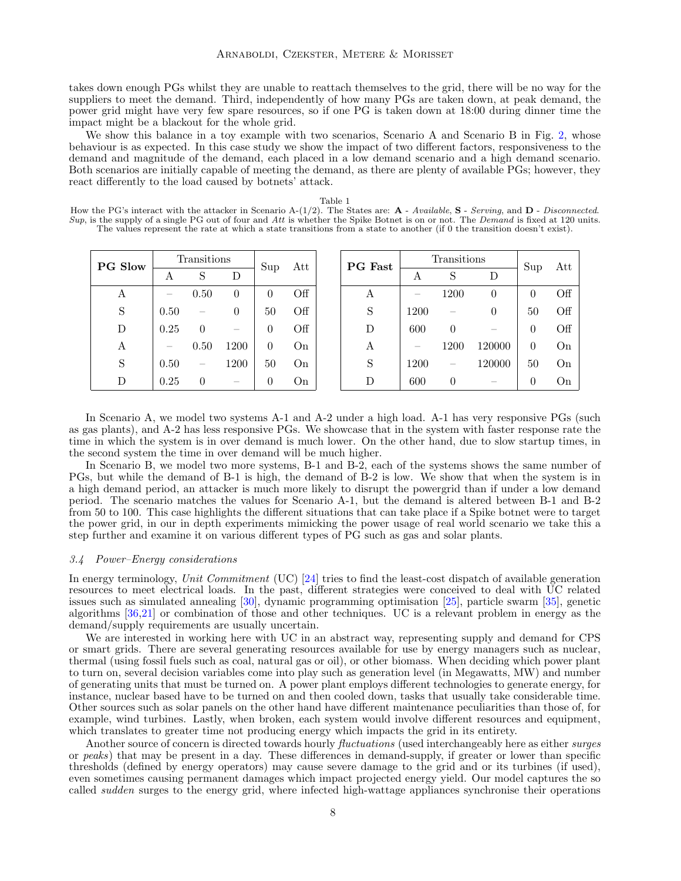takes down enough PGs whilst they are unable to reattach themselves to the grid, there will be no way for the suppliers to meet the demand. Third, independently of how many PGs are taken down, at peak demand, the power grid might have very few spare resources, so if one PG is taken down at 18:00 during dinner time the impact might be a blackout for the whole grid.

We show this balance in a toy example with two scenarios, Scenario A and Scenario B in Fig. [2,](#page-8-0) whose behaviour is as expected. In this case study we show the impact of two different factors, responsiveness to the demand and magnitude of the demand, each placed in a low demand scenario and a high demand scenario. Both scenarios are initially capable of meeting the demand, as there are plenty of available PGs; however, they react differently to the load caused by botnets' attack.

Table 1

How the PG's interact with the attacker in Scenario A- $(1/2)$ . The States are:  $A$  - Available,  $S$  - Serving, and  $D$  - Disconnected. Sup, is the supply of a single PG out of four and Att is whether the Spike Botnet is on or not. The Demand is fixed at 120 units. The values represent the rate at which a state transitions from a state to another (if 0 the transition doesn't exist).

| PG Slow | Transitions |                          |                          | Sup      | Att | <b>PG</b> Fast | Transitions              |                          |        | Sup      | Att         |
|---------|-------------|--------------------------|--------------------------|----------|-----|----------------|--------------------------|--------------------------|--------|----------|-------------|
|         | А           | S                        | D                        |          |     |                | А                        | S                        | D      |          |             |
| А       | -           | 0.50                     | $\overline{0}$           | $\Omega$ | Off | А              | $\overline{\phantom{a}}$ | 1200                     | 0      | 0        | Off         |
| S       | 0.50        |                          | $\theta$                 | 50       | Off | S              | 1200                     |                          | 0      | 50       | Off         |
| D       | 0.25        | $\theta$                 | -                        | 0        | Off | D              | 600                      | $\theta$                 |        | 0        | Off         |
| А       | -           | 0.50                     | 1200                     | $\Omega$ | On  | А              | $\overline{\phantom{a}}$ | 1200                     | 120000 | $\theta$ | On          |
| S       | 0.50        | $\overline{\phantom{a}}$ | 1200                     | 50       | On  | S              | 1200                     | $\overline{\phantom{a}}$ | 120000 | 50       | On          |
| D       | 0.25        | $\theta$                 | $\overline{\phantom{a}}$ | 0        | On  | D              | 600                      | $\theta$                 | -      | 0        | $_{\rm On}$ |

In Scenario A, we model two systems A-1 and A-2 under a high load. A-1 has very responsive PGs (such as gas plants), and A-2 has less responsive PGs. We showcase that in the system with faster response rate the time in which the system is in over demand is much lower. On the other hand, due to slow startup times, in the second system the time in over demand will be much higher.

In Scenario B, we model two more systems, B-1 and B-2, each of the systems shows the same number of PGs, but while the demand of B-1 is high, the demand of B-2 is low. We show that when the system is in a high demand period, an attacker is much more likely to disrupt the powergrid than if under a low demand period. The scenario matches the values for Scenario A-1, but the demand is altered between B-1 and B-2 from 50 to 100. This case highlights the different situations that can take place if a Spike botnet were to target the power grid, in our in depth experiments mimicking the power usage of real world scenario we take this a step further and examine it on various different types of PG such as gas and solar plants.

#### 3.4 Power–Energy considerations

In energy terminology, Unit Commitment (UC) [\[24\]](#page-14-22) tries to find the least-cost dispatch of available generation resources to meet electrical loads. In the past, different strategies were conceived to deal with UC related issues such as simulated annealing [\[30\]](#page-14-23), dynamic programming optimisation [\[25\]](#page-14-24), particle swarm [\[35\]](#page-14-25), genetic algorithms [\[36,](#page-14-26)[21\]](#page-14-27) or combination of those and other techniques. UC is a relevant problem in energy as the demand/supply requirements are usually uncertain.

We are interested in working here with UC in an abstract way, representing supply and demand for CPS or smart grids. There are several generating resources available for use by energy managers such as nuclear, thermal (using fossil fuels such as coal, natural gas or oil), or other biomass. When deciding which power plant to turn on, several decision variables come into play such as generation level (in Megawatts, MW) and number of generating units that must be turned on. A power plant employs different technologies to generate energy, for instance, nuclear based have to be turned on and then cooled down, tasks that usually take considerable time. Other sources such as solar panels on the other hand have different maintenance peculiarities than those of, for example, wind turbines. Lastly, when broken, each system would involve different resources and equipment, which translates to greater time not producing energy which impacts the grid in its entirety.

Another source of concern is directed towards hourly *fluctuations* (used interchangeably here as either *surges* or peaks) that may be present in a day. These differences in demand-supply, if greater or lower than specific thresholds (defined by energy operators) may cause severe damage to the grid and or its turbines (if used), even sometimes causing permanent damages which impact projected energy yield. Our model captures the so called sudden surges to the energy grid, where infected high-wattage appliances synchronise their operations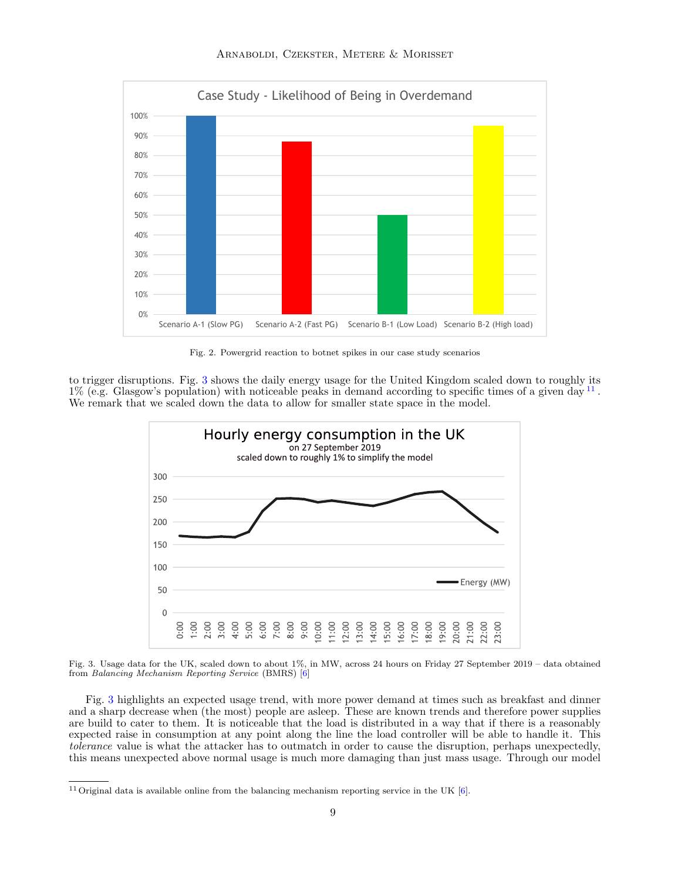Arnaboldi, Czekster, Metere & Morisset

<span id="page-8-0"></span>

Fig. 2. Powergrid reaction to botnet spikes in our case study scenarios

<span id="page-8-1"></span>to trigger disruptions. Fig. [3](#page-8-1) shows the daily energy usage for the United Kingdom scaled down to roughly its  $1\%$  (e.g. Glasgow's population) with noticeable peaks in demand according to specific times of a given day  $^{11}$  $^{11}$  $^{11}$ . We remark that we scaled down the data to allow for smaller state space in the model.



Fig. 3. Usage data for the UK, scaled down to about 1%, in MW, across 24 hours on Friday 27 September 2019 – data obtained from Balancing Mechanism Reporting Service (BMRS) [\[6\]](#page-13-5)

Fig. [3](#page-8-1) highlights an expected usage trend, with more power demand at times such as breakfast and dinner and a sharp decrease when (the most) people are asleep. These are known trends and therefore power supplies are build to cater to them. It is noticeable that the load is distributed in a way that if there is a reasonably expected raise in consumption at any point along the line the load controller will be able to handle it. This tolerance value is what the attacker has to outmatch in order to cause the disruption, perhaps unexpectedly, this means unexpected above normal usage is much more damaging than just mass usage. Through our model

<span id="page-8-2"></span><sup>&</sup>lt;sup>11</sup> Original data is available online from the balancing mechanism reporting service in the UK  $[6]$ .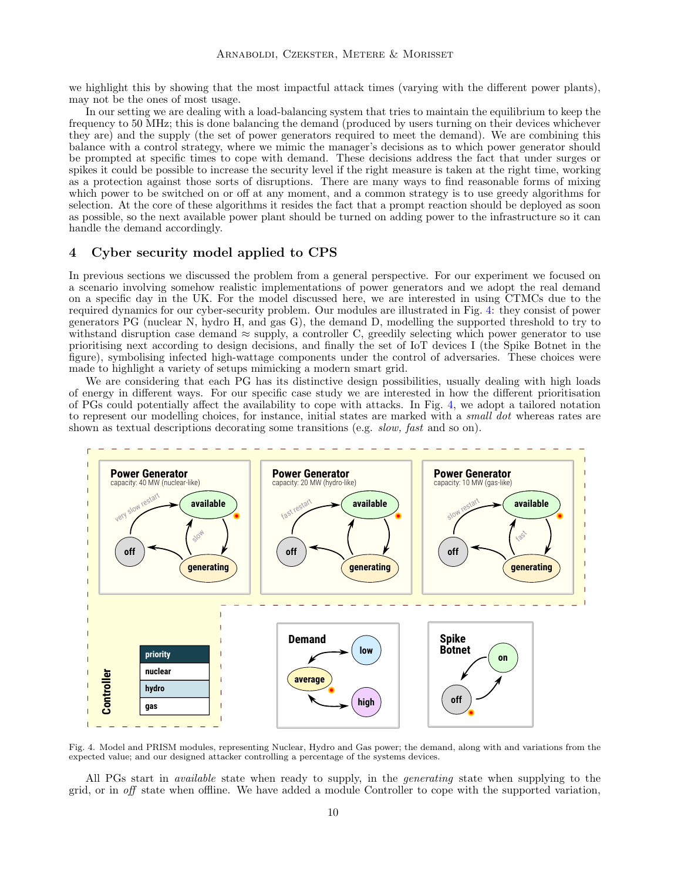we highlight this by showing that the most impactful attack times (varying with the different power plants), may not be the ones of most usage.

In our setting we are dealing with a load-balancing system that tries to maintain the equilibrium to keep the frequency to 50 MHz; this is done balancing the demand (produced by users turning on their devices whichever they are) and the supply (the set of power generators required to meet the demand). We are combining this balance with a control strategy, where we mimic the manager's decisions as to which power generator should be prompted at specific times to cope with demand. These decisions address the fact that under surges or spikes it could be possible to increase the security level if the right measure is taken at the right time, working as a protection against those sorts of disruptions. There are many ways to find reasonable forms of mixing which power to be switched on or off at any moment, and a common strategy is to use greedy algorithms for selection. At the core of these algorithms it resides the fact that a prompt reaction should be deployed as soon as possible, so the next available power plant should be turned on adding power to the infrastructure so it can handle the demand accordingly.

### <span id="page-9-0"></span>4 Cyber security model applied to CPS

In previous sections we discussed the problem from a general perspective. For our experiment we focused on a scenario involving somehow realistic implementations of power generators and we adopt the real demand on a specific day in the UK. For the model discussed here, we are interested in using CTMCs due to the required dynamics for our cyber-security problem. Our modules are illustrated in Fig. [4:](#page-9-1) they consist of power generators PG (nuclear N, hydro H, and gas G), the demand D, modelling the supported threshold to try to withstand disruption case demand  $\approx$  supply, a controller C, greedily selecting which power generator to use prioritising next according to design decisions, and finally the set of IoT devices I (the Spike Botnet in the figure), symbolising infected high-wattage components under the control of adversaries. These choices were made to highlight a variety of setups mimicking a modern smart grid.

We are considering that each PG has its distinctive design possibilities, usually dealing with high loads of energy in different ways. For our specific case study we are interested in how the different prioritisation of PGs could potentially affect the availability to cope with attacks. In Fig. [4,](#page-9-1) we adopt a tailored notation to represent our modelling choices, for instance, initial states are marked with a *small dot* whereas rates are shown as textual descriptions decorating some transitions (e.g. *slow, fast* and so on).

<span id="page-9-1"></span>

Fig. 4. Model and PRISM modules, representing Nuclear, Hydro and Gas power; the demand, along with and variations from the expected value; and our designed attacker controlling a percentage of the systems devices.

All PGs start in *available* state when ready to supply, in the *generating* state when supplying to the grid, or in off state when offline. We have added a module Controller to cope with the supported variation,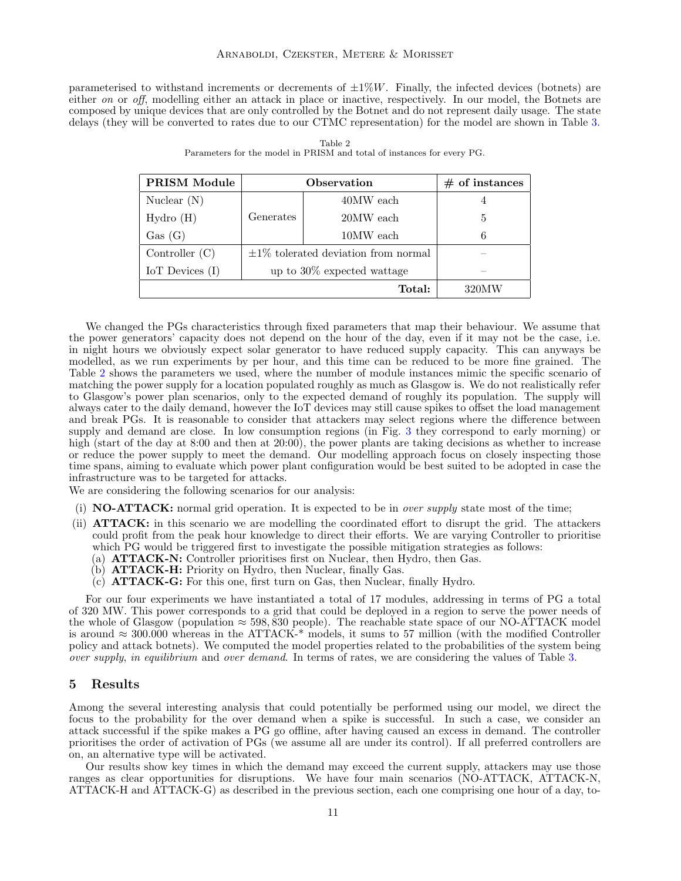<span id="page-10-1"></span>parameterised to withstand increments or decrements of  $\pm 1\%W$ . Finally, the infected devices (botnets) are either on or off, modelling either an attack in place or inactive, respectively. In our model, the Botnets are composed by unique devices that are only controlled by the Botnet and do not represent daily usage. The state delays (they will be converted to rates due to our CTMC representation) for the model are shown in Table [3.](#page-11-0)

| <b>PRISM Module</b> |                                           | $#$ of instances |       |
|---------------------|-------------------------------------------|------------------|-------|
| Nuclear $(N)$       |                                           | 40MW each        |       |
| Hydro(H)            | Generates                                 | 20MW each        | 5     |
| Gas(G)              |                                           | 10MW each        | 6     |
| Controller $(C)$    | $\pm 1\%$ tolerated deviation from normal |                  |       |
| IoT Devices $(I)$   | up to $30\%$ expected wattage             |                  |       |
|                     |                                           | Total:           | 320MW |

| Table 2                                                                |  |  |  |  |  |  |
|------------------------------------------------------------------------|--|--|--|--|--|--|
| Parameters for the model in PRISM and total of instances for every PG. |  |  |  |  |  |  |

We changed the PGs characteristics through fixed parameters that map their behaviour. We assume that the power generators' capacity does not depend on the hour of the day, even if it may not be the case, i.e. in night hours we obviously expect solar generator to have reduced supply capacity. This can anyways be modelled, as we run experiments by per hour, and this time can be reduced to be more fine grained. The Table [2](#page-10-1) shows the parameters we used, where the number of module instances mimic the specific scenario of matching the power supply for a location populated roughly as much as Glasgow is. We do not realistically refer to Glasgow's power plan scenarios, only to the expected demand of roughly its population. The supply will always cater to the daily demand, however the IoT devices may still cause spikes to offset the load management and break PGs. It is reasonable to consider that attackers may select regions where the difference between supply and demand are close. In low consumption regions (in Fig. [3](#page-8-1) they correspond to early morning) or high (start of the day at 8:00 and then at 20:00), the power plants are taking decisions as whether to increase or reduce the power supply to meet the demand. Our modelling approach focus on closely inspecting those time spans, aiming to evaluate which power plant configuration would be best suited to be adopted in case the infrastructure was to be targeted for attacks.

We are considering the following scenarios for our analysis:

- (i) **NO-ATTACK:** normal grid operation. It is expected to be in *over supply* state most of the time;
- (ii) **ATTACK:** in this scenario we are modelling the coordinated effort to disrupt the grid. The attackers could profit from the peak hour knowledge to direct their efforts. We are varying Controller to prioritise which PG would be triggered first to investigate the possible mitigation strategies as follows:
	- (a) ATTACK-N: Controller prioritises first on Nuclear, then Hydro, then Gas.
	- (b) ATTACK-H: Priority on Hydro, then Nuclear, finally Gas.
	- (c) ATTACK-G: For this one, first turn on Gas, then Nuclear, finally Hydro.

For our four experiments we have instantiated a total of 17 modules, addressing in terms of PG a total of 320 MW. This power corresponds to a grid that could be deployed in a region to serve the power needs of the whole of Glasgow (population  $\approx$  598, 830 people). The reachable state space of our NO-ATTACK model is around  $\approx 300.000$  whereas in the ATTACK-\* models, it sums to 57 million (with the modified Controller policy and attack botnets). We computed the model properties related to the probabilities of the system being over supply, in equilibrium and over demand. In terms of rates, we are considering the values of Table [3.](#page-11-0)

### <span id="page-10-0"></span>5 Results

Among the several interesting analysis that could potentially be performed using our model, we direct the focus to the probability for the over demand when a spike is successful. In such a case, we consider an attack successful if the spike makes a PG go offline, after having caused an excess in demand. The controller prioritises the order of activation of PGs (we assume all are under its control). If all preferred controllers are on, an alternative type will be activated.

Our results show key times in which the demand may exceed the current supply, attackers may use those ranges as clear opportunities for disruptions. We have four main scenarios (NO-ATTACK, ATTACK-N, ATTACK-H and ATTACK-G) as described in the previous section, each one comprising one hour of a day, to-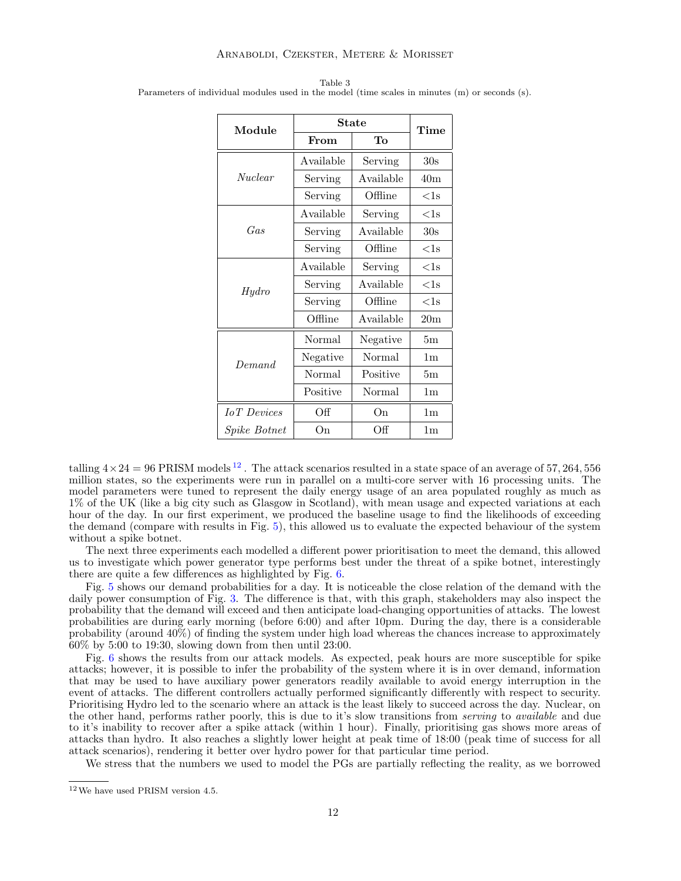### Arnaboldi, Czekster, Metere & Morisset

|                    | <b>State</b> |           |                 |  |
|--------------------|--------------|-----------|-----------------|--|
| Module             | From         | To        | Time            |  |
|                    | Available    | Serving   | 30s             |  |
| Nuclear            | Serving      | Available | 40 <sub>m</sub> |  |
|                    | Serving      | Offline   | $<$ 1s          |  |
|                    | Available    | Serving   | $<$ 1s          |  |
| Gas                | Serving      | Available | 30s             |  |
|                    | Serving      | Offline   | $<$ 1s          |  |
|                    | Available    | Serving   | $<$ 1s          |  |
| Hydro              | Serving      | Available | $<$ 1s          |  |
|                    | Serving      | Offline   | $<$ 1s          |  |
|                    | Offline      | Available | 20 <sub>m</sub> |  |
|                    | Normal       | Negative  | 5m              |  |
| Demand             | Negative     | Normal    | 1 <sub>m</sub>  |  |
|                    | Normal       | Positive  | 5m              |  |
|                    | Positive     | Normal    | 1 <sub>m</sub>  |  |
| <b>IoT</b> Devices | Off          | On        | 1 <sub>m</sub>  |  |
| Spike Botnet       | On           | Оff       | 1 <sub>m</sub>  |  |

<span id="page-11-0"></span>Table 3 Parameters of individual modules used in the model (time scales in minutes (m) or seconds (s).

talling  $4 \times 24 = 96$  PRISM models <sup>[12](#page-11-1)</sup>. The attack scenarios resulted in a state space of an average of 57, 264, 556 million states, so the experiments were run in parallel on a multi-core server with 16 processing units. The model parameters were tuned to represent the daily energy usage of an area populated roughly as much as 1% of the UK (like a big city such as Glasgow in Scotland), with mean usage and expected variations at each hour of the day. In our first experiment, we produced the baseline usage to find the likelihoods of exceeding the demand (compare with results in Fig. [5\)](#page-12-1), this allowed us to evaluate the expected behaviour of the system without a spike botnet.

The next three experiments each modelled a different power prioritisation to meet the demand, this allowed us to investigate which power generator type performs best under the threat of a spike botnet, interestingly there are quite a few differences as highlighted by Fig. [6.](#page-12-2)

Fig. [5](#page-12-1) shows our demand probabilities for a day. It is noticeable the close relation of the demand with the daily power consumption of Fig. [3.](#page-8-1) The difference is that, with this graph, stakeholders may also inspect the probability that the demand will exceed and then anticipate load-changing opportunities of attacks. The lowest probabilities are during early morning (before 6:00) and after 10pm. During the day, there is a considerable probability (around 40%) of finding the system under high load whereas the chances increase to approximately 60% by 5:00 to 19:30, slowing down from then until 23:00.

Fig. [6](#page-12-2) shows the results from our attack models. As expected, peak hours are more susceptible for spike attacks; however, it is possible to infer the probability of the system where it is in over demand, information that may be used to have auxiliary power generators readily available to avoid energy interruption in the event of attacks. The different controllers actually performed significantly differently with respect to security. Prioritising Hydro led to the scenario where an attack is the least likely to succeed across the day. Nuclear, on the other hand, performs rather poorly, this is due to it's slow transitions from serving to available and due to it's inability to recover after a spike attack (within 1 hour). Finally, prioritising gas shows more areas of attacks than hydro. It also reaches a slightly lower height at peak time of 18:00 (peak time of success for all attack scenarios), rendering it better over hydro power for that particular time period.

We stress that the numbers we used to model the PGs are partially reflecting the reality, as we borrowed

<span id="page-11-1"></span><sup>12</sup>We have used PRISM version 4.5.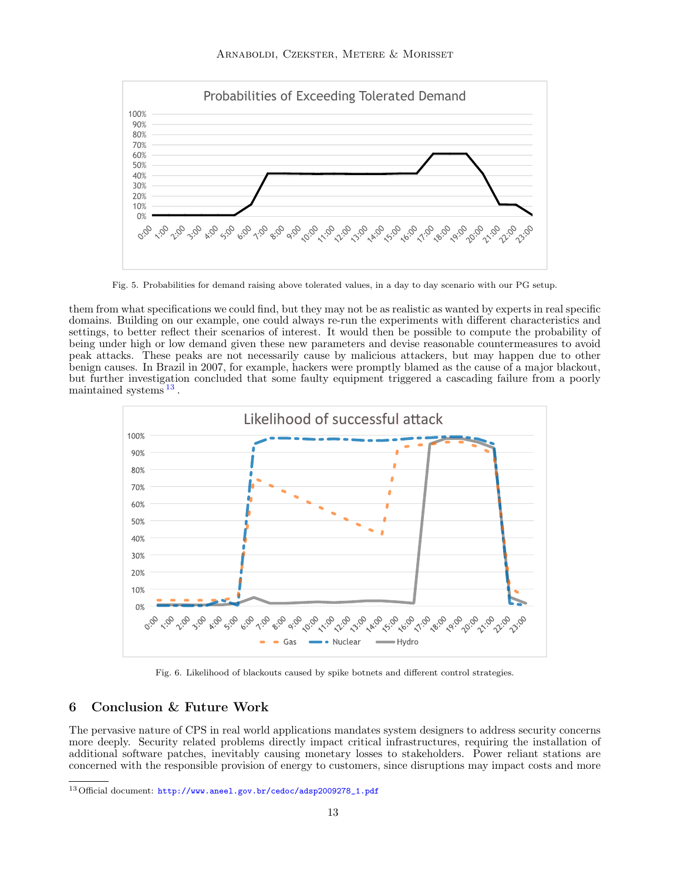<span id="page-12-1"></span>

Fig. 5. Probabilities for demand raising above tolerated values, in a day to day scenario with our PG setup.

them from what specifications we could find, but they may not be as realistic as wanted by experts in real specific domains. Building on our example, one could always re-run the experiments with different characteristics and settings, to better reflect their scenarios of interest. It would then be possible to compute the probability of being under high or low demand given these new parameters and devise reasonable countermeasures to avoid peak attacks. These peaks are not necessarily cause by malicious attackers, but may happen due to other benign causes. In Brazil in 2007, for example, hackers were promptly blamed as the cause of a major blackout, but further investigation concluded that some faulty equipment triggered a cascading failure from a poorly maintained systems<sup>[13](#page-12-3)</sup>.

<span id="page-12-2"></span>

Fig. 6. Likelihood of blackouts caused by spike botnets and different control strategies.

## <span id="page-12-0"></span>6 Conclusion & Future Work

The pervasive nature of CPS in real world applications mandates system designers to address security concerns more deeply. Security related problems directly impact critical infrastructures, requiring the installation of additional software patches, inevitably causing monetary losses to stakeholders. Power reliant stations are concerned with the responsible provision of energy to customers, since disruptions may impact costs and more

<span id="page-12-3"></span><sup>13</sup> Official document: [http://www.aneel.gov.br/cedoc/adsp2009278\\_1.pdf](http://www.aneel.gov.br/cedoc/adsp2009278_1.pdf)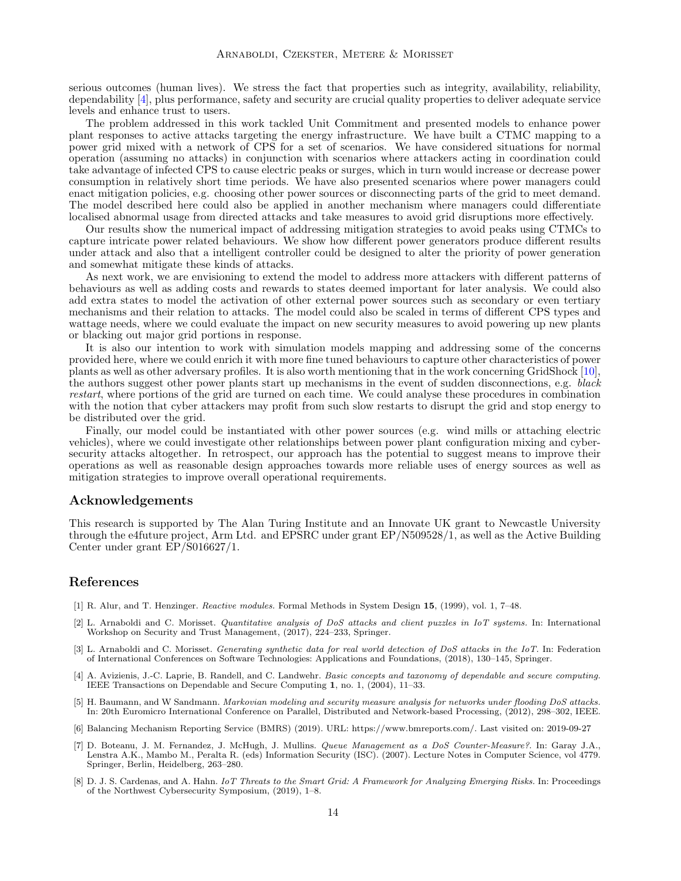serious outcomes (human lives). We stress the fact that properties such as integrity, availability, reliability, dependability [\[4\]](#page-13-6), plus performance, safety and security are crucial quality properties to deliver adequate service levels and enhance trust to users.

The problem addressed in this work tackled Unit Commitment and presented models to enhance power plant responses to active attacks targeting the energy infrastructure. We have built a CTMC mapping to a power grid mixed with a network of CPS for a set of scenarios. We have considered situations for normal operation (assuming no attacks) in conjunction with scenarios where attackers acting in coordination could take advantage of infected CPS to cause electric peaks or surges, which in turn would increase or decrease power consumption in relatively short time periods. We have also presented scenarios where power managers could enact mitigation policies, e.g. choosing other power sources or disconnecting parts of the grid to meet demand. The model described here could also be applied in another mechanism where managers could differentiate localised abnormal usage from directed attacks and take measures to avoid grid disruptions more effectively.

Our results show the numerical impact of addressing mitigation strategies to avoid peaks using CTMCs to capture intricate power related behaviours. We show how different power generators produce different results under attack and also that a intelligent controller could be designed to alter the priority of power generation and somewhat mitigate these kinds of attacks.

As next work, we are envisioning to extend the model to address more attackers with different patterns of behaviours as well as adding costs and rewards to states deemed important for later analysis. We could also add extra states to model the activation of other external power sources such as secondary or even tertiary mechanisms and their relation to attacks. The model could also be scaled in terms of different CPS types and wattage needs, where we could evaluate the impact on new security measures to avoid powering up new plants or blacking out major grid portions in response.

It is also our intention to work with simulation models mapping and addressing some of the concerns provided here, where we could enrich it with more fine tuned behaviours to capture other characteristics of power plants as well as other adversary profiles. It is also worth mentioning that in the work concerning GridShock [\[10\]](#page-14-0), the authors suggest other power plants start up mechanisms in the event of sudden disconnections, e.g. black restart, where portions of the grid are turned on each time. We could analyse these procedures in combination with the notion that cyber attackers may profit from such slow restarts to disrupt the grid and stop energy to be distributed over the grid.

Finally, our model could be instantiated with other power sources (e.g. wind mills or attaching electric vehicles), where we could investigate other relationships between power plant configuration mixing and cybersecurity attacks altogether. In retrospect, our approach has the potential to suggest means to improve their operations as well as reasonable design approaches towards more reliable uses of energy sources as well as mitigation strategies to improve overall operational requirements.

### Acknowledgements

This research is supported by The Alan Turing Institute and an Innovate UK grant to Newcastle University through the e4future project, Arm Ltd. and EPSRC under grant EP/N509528/1, as well as the Active Building Center under grant EP/S016627/1.

### References

- <span id="page-13-4"></span>[1] R. Alur, and T. Henzinger. Reactive modules. Formal Methods in System Design 15, (1999), vol. 1, 7–48.
- <span id="page-13-2"></span>[2] L. Arnaboldi and C. Morisset. Quantitative analysis of DoS attacks and client puzzles in IoT systems. In: International Workshop on Security and Trust Management, (2017), 224–233, Springer.
- <span id="page-13-0"></span>[3] L. Arnaboldi and C. Morisset. Generating synthetic data for real world detection of DoS attacks in the IoT. In: Federation of International Conferences on Software Technologies: Applications and Foundations, (2018), 130–145, Springer.
- <span id="page-13-6"></span>[4] A. Avizienis, J.-C. Laprie, B. Randell, and C. Landwehr. Basic concepts and taxonomy of dependable and secure computing. IEEE Transactions on Dependable and Secure Computing 1, no. 1, (2004), 11–33.
- <span id="page-13-3"></span>[5] H. Baumann, and W Sandmann. Markovian modeling and security measure analysis for networks under flooding DoS attacks. In: 20th Euromicro International Conference on Parallel, Distributed and Network-based Processing, (2012), 298–302, IEEE.
- <span id="page-13-5"></span>[6] Balancing Mechanism Reporting Service (BMRS) (2019). URL: https://www.bmreports.com/. Last visited on: 2019-09-27
- [7] D. Boteanu, J. M. Fernandez, J. McHugh, J. Mullins. Queue Management as a DoS Counter-Measure?. In: Garay J.A., Lenstra A.K., Mambo M., Peralta R. (eds) Information Security (ISC). (2007). Lecture Notes in Computer Science, vol 4779. Springer, Berlin, Heidelberg, 263–280.
- <span id="page-13-1"></span>[8] D. J. S. Cardenas, and A. Hahn. IoT Threats to the Smart Grid: A Framework for Analyzing Emerging Risks. In: Proceedings of the Northwest Cybersecurity Symposium, (2019), 1–8.